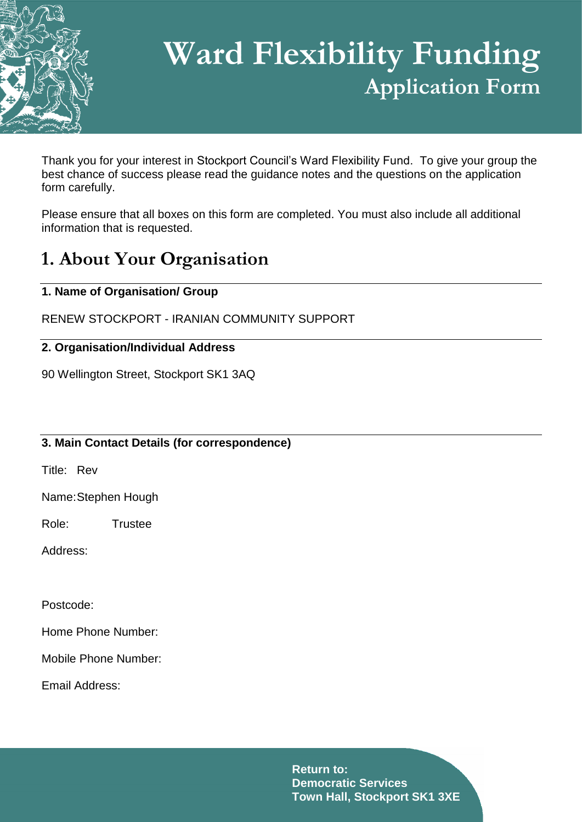

# **Ward Flexibility Funding Application Form**

Thank you for your interest in Stockport Council's Ward Flexibility Fund. To give your group the best chance of success please read the guidance notes and the questions on the application form carefully.

Please ensure that all boxes on this form are completed. You must also include all additional information that is requested.

## **1. About Your Organisation**

#### **1. Name of Organisation/ Group**

RENEW STOCKPORT - IRANIAN COMMUNITY SUPPORT

#### **2. Organisation/Individual Address**

90 Wellington Street, Stockport SK1 3AQ

#### **3. Main Contact Details (for correspondence)**

Title: Rev

Name:Stephen Hough

Role: Trustee

Address:

Postcode:

Home Phone Number:

Mobile Phone Number:

Email Address: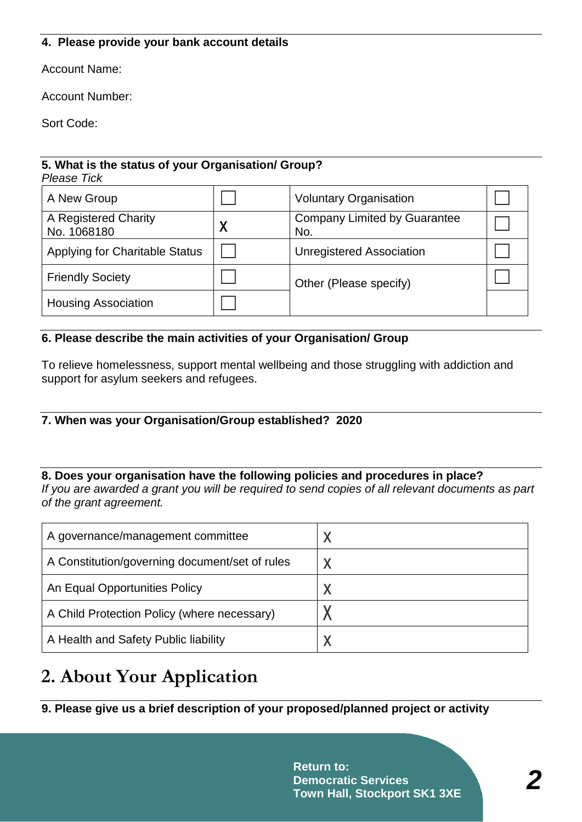#### **4. Please provide your bank account details**

Account Name:

Account Number:

Sort Code:

#### **5. What is the status of your Organisation/ Group?**  *Please Tick*

| A New Group                           | <b>Voluntary Organisation</b>              |  |
|---------------------------------------|--------------------------------------------|--|
| A Registered Charity<br>No. 1068180   | <b>Company Limited by Guarantee</b><br>No. |  |
| <b>Applying for Charitable Status</b> | <b>Unregistered Association</b>            |  |
| <b>Friendly Society</b>               | Other (Please specify)                     |  |
| <b>Housing Association</b>            |                                            |  |

#### **6. Please describe the main activities of your Organisation/ Group**

To relieve homelessness, support mental wellbeing and those struggling with addiction and support for asylum seekers and refugees.

#### **7. When was your Organisation/Group established? 2020**

### **8. Does your organisation have the following policies and procedures in place?**

*If you are awarded a grant you will be required to send copies of all relevant documents as part of the grant agreement.*

| A governance/management committee              |   |
|------------------------------------------------|---|
| A Constitution/governing document/set of rules |   |
| An Equal Opportunities Policy                  | Χ |
| A Child Protection Policy (where necessary)    |   |
| A Health and Safety Public liability           |   |

## **2. About Your Application**

**9. Please give us a brief description of your proposed/planned project or activity**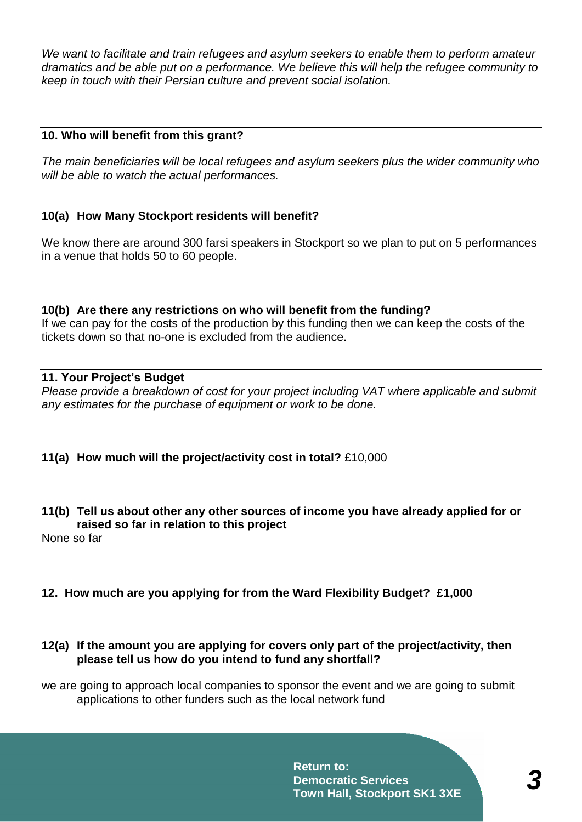*We want to facilitate and train refugees and asylum seekers to enable them to perform amateur dramatics and be able put on a performance. We believe this will help the refugee community to keep in touch with their Persian culture and prevent social isolation.* 

#### **10. Who will benefit from this grant?**

*The main beneficiaries will be local refugees and asylum seekers plus the wider community who will be able to watch the actual performances.*

#### **10(a) How Many Stockport residents will benefit?**

We know there are around 300 farsi speakers in Stockport so we plan to put on 5 performances in a venue that holds 50 to 60 people.

#### **10(b) Are there any restrictions on who will benefit from the funding?**  If we can pay for the costs of the production by this funding then we can keep the costs of the tickets down so that no-one is excluded from the audience.

#### **11. Your Project's Budget**

*Please provide a breakdown of cost for your project including VAT where applicable and submit any estimates for the purchase of equipment or work to be done.*

#### **11(a) How much will the project/activity cost in total?** £10,000

#### **11(b) Tell us about other any other sources of income you have already applied for or raised so far in relation to this project**

None so far

#### **12. How much are you applying for from the Ward Flexibility Budget? £1,000**

#### **12(a) If the amount you are applying for covers only part of the project/activity, then please tell us how do you intend to fund any shortfall?**

we are going to approach local companies to sponsor the event and we are going to submit applications to other funders such as the local network fund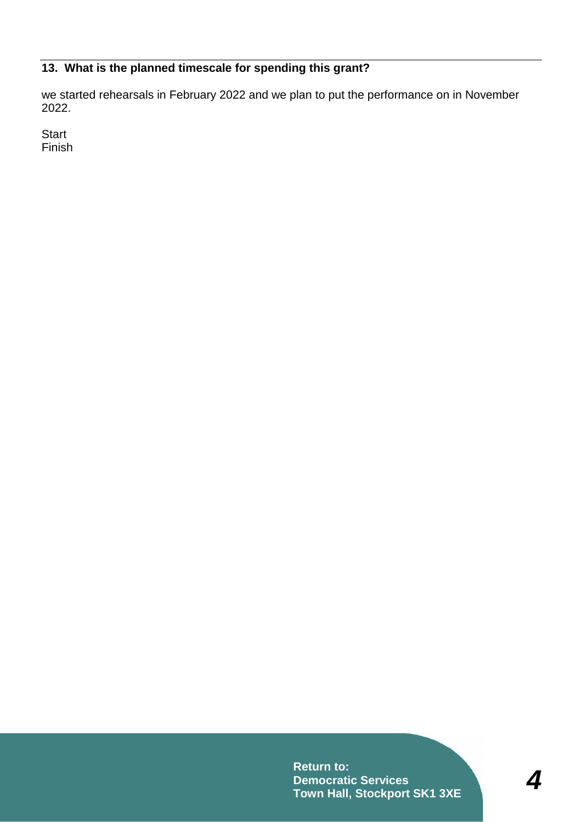#### **13. What is the planned timescale for spending this grant?**

we started rehearsals in February 2022 and we plan to put the performance on in November 2022.

**Start** Finish

> **Return to: Democratic Services Town Hall, Stockport SK1 3XE**

*4*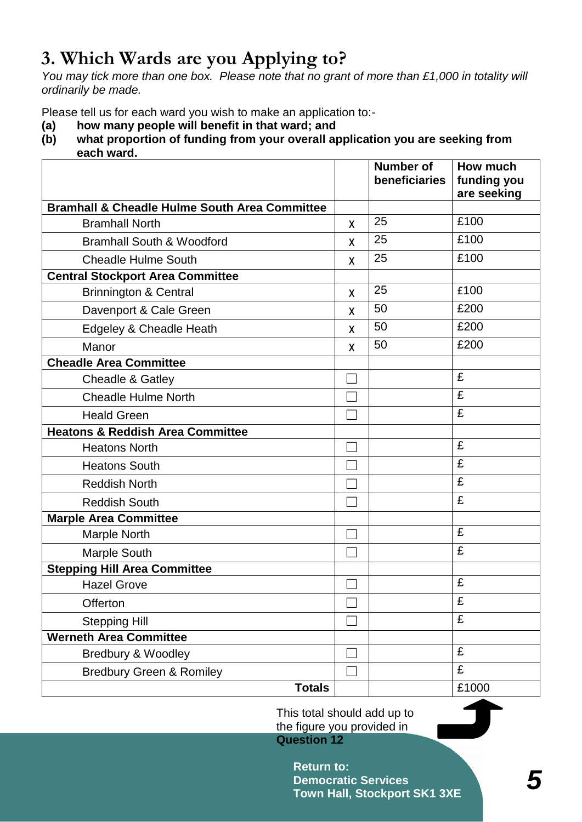# **3. Which Wards are you Applying to?**

*You may tick more than one box. Please note that no grant of more than £1,000 in totality will ordinarily be made.*

Please tell us for each ward you wish to make an application to:-

- **(a) how many people will benefit in that ward; and**
- **(b) what proportion of funding from your overall application you are seeking from each ward.**

|                                                          |              | <b>Number of</b><br>beneficiaries | How much<br>funding you<br>are seeking |
|----------------------------------------------------------|--------------|-----------------------------------|----------------------------------------|
| <b>Bramhall &amp; Cheadle Hulme South Area Committee</b> |              |                                   |                                        |
| <b>Bramhall North</b>                                    | X            | 25                                | £100                                   |
| <b>Bramhall South &amp; Woodford</b>                     | X            | 25                                | £100                                   |
| <b>Cheadle Hulme South</b>                               | χ            | 25                                | £100                                   |
| <b>Central Stockport Area Committee</b>                  |              |                                   |                                        |
| <b>Brinnington &amp; Central</b>                         | $\mathsf{x}$ | 25                                | £100                                   |
| Davenport & Cale Green                                   | X            | 50                                | £200                                   |
| Edgeley & Cheadle Heath                                  | X            | 50                                | £200                                   |
| Manor                                                    | X            | 50                                | £200                                   |
| <b>Cheadle Area Committee</b>                            |              |                                   |                                        |
| Cheadle & Gatley                                         |              |                                   | £                                      |
| <b>Cheadle Hulme North</b>                               |              |                                   | £                                      |
| <b>Heald Green</b>                                       |              |                                   | £                                      |
| <b>Heatons &amp; Reddish Area Committee</b>              |              |                                   |                                        |
| <b>Heatons North</b>                                     |              |                                   | £                                      |
| <b>Heatons South</b>                                     |              |                                   | £                                      |
| <b>Reddish North</b>                                     |              |                                   | £                                      |
| <b>Reddish South</b>                                     |              |                                   | £                                      |
| <b>Marple Area Committee</b>                             |              |                                   |                                        |
| Marple North                                             |              |                                   | £                                      |
| <b>Marple South</b>                                      |              |                                   | £                                      |
| <b>Stepping Hill Area Committee</b>                      |              |                                   |                                        |
| <b>Hazel Grove</b>                                       |              |                                   | £                                      |
| Offerton                                                 |              |                                   | £                                      |
| <b>Stepping Hill</b>                                     |              |                                   | £                                      |
| Werneth Area Committee                                   |              |                                   |                                        |
| Bredbury & Woodley                                       |              |                                   | £                                      |
| <b>Bredbury Green &amp; Romiley</b>                      |              |                                   | £                                      |
| <b>Totals</b>                                            |              |                                   | £1000                                  |

This total should add up to the figure you provided in **Question 12**

> **Return to: Democratic Services Town Hall, Stockport SK1 3XE**

*5*